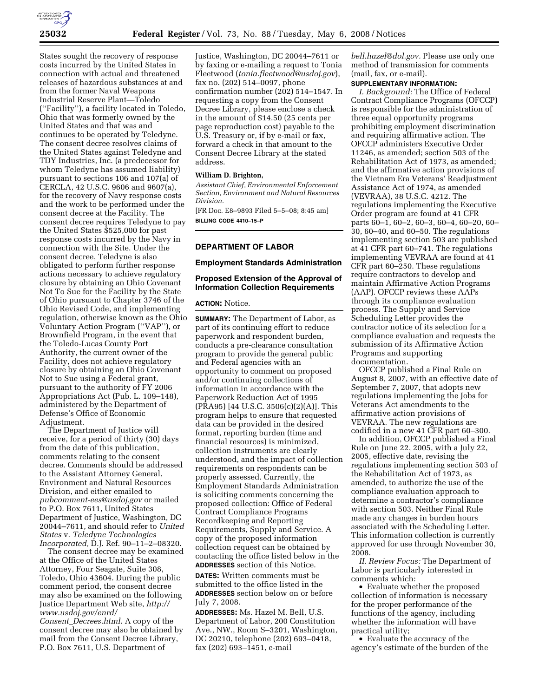

States sought the recovery of response costs incurred by the United States in connection with actual and threatened releases of hazardous substances at and from the former Naval Weapons Industrial Reserve Plant—Toledo (''Facility''), a facility located in Toledo, Ohio that was formerly owned by the United States and that was and continues to be operated by Teledyne. The consent decree resolves claims of the United States against Teledyne and TDY Industries, Inc. (a predecessor for whom Teledyne has assumed liability) pursuant to sections 106 and 107(a) of CERCLA, 42 U.S.C. 9606 and 9607(a), for the recovery of Navy response costs and the work to be performed under the consent decree at the Facility. The consent decree requires Teledyne to pay the United States \$525,000 for past response costs incurred by the Navy in connection with the Site. Under the consent decree, Teledyne is also obligated to perform further response actions necessary to achieve regulatory closure by obtaining an Ohio Covenant Not To Sue for the Facility by the State of Ohio pursuant to Chapter 3746 of the Ohio Revised Code, and implementing regulation, otherwise known as the Ohio Voluntary Action Program (''VAP''), or Brownfield Program, in the event that the Toledo-Lucas County Port Authority, the current owner of the Facility, does not achieve regulatory closure by obtaining an Ohio Covenant Not to Sue using a Federal grant, pursuant to the authority of FY 2006 Appropriations Act (Pub. L. 109–148), administered by the Department of Defense's Office of Economic Adjustment.

The Department of Justice will receive, for a period of thirty (30) days from the date of this publication, comments relating to the consent decree. Comments should be addressed to the Assistant Attorney General, Environment and Natural Resources Division, and either emailed to *pubcomment-ees@usdoj.gov* or mailed to P.O. Box 7611, United States Department of Justice, Washington, DC 20044–7611, and should refer to *United States* v. *Teledyne Technologies Incorporated,* D.J. Ref. 90–11–2–08320.

The consent decree may be examined at the Office of the United States Attorney, Four Seagate, Suite 308, Toledo, Ohio 43604. During the public comment period, the consent decree may also be examined on the following Justice Department Web site, *http:// www.usdoj.gov/enrd/ Consent*\_*Decrees.html*. A copy of the

consent decree may also be obtained by mail from the Consent Decree Library, P.O. Box 7611, U.S. Department of

Justice, Washington, DC 20044–7611 or by faxing or e-mailing a request to Tonia Fleetwood (*tonia.fleetwood@usdoj.gov*), fax no. (202) 514–0097, phone confirmation number (202) 514–1547. In requesting a copy from the Consent Decree Library, please enclose a check in the amount of \$14.50 (25 cents per page reproduction cost) payable to the U.S. Treasury or, if by e-mail or fax, forward a check in that amount to the Consent Decree Library at the stated address.

# **William D. Brighton,**

*Assistant Chief, Environmental Enforcement Section, Environment and Natural Resources Division.* 

[FR Doc. E8–9893 Filed 5–5–08; 8:45 am] **BILLING CODE 4410–15–P** 

# **DEPARTMENT OF LABOR**

#### **Employment Standards Administration**

# **Proposed Extension of the Approval of Information Collection Requirements**

# **ACTION:** Notice.

**SUMMARY:** The Department of Labor, as part of its continuing effort to reduce paperwork and respondent burden, conducts a pre-clearance consultation program to provide the general public and Federal agencies with an opportunity to comment on proposed and/or continuing collections of information in accordance with the Paperwork Reduction Act of 1995 (PRA95) [44 U.S.C. 3506(c)(2)(A)]. This program helps to ensure that requested data can be provided in the desired format, reporting burden (time and financial resources) is minimized, collection instruments are clearly understood, and the impact of collection requirements on respondents can be properly assessed. Currently, the Employment Standards Administration is soliciting comments concerning the proposed collection: Office of Federal Contract Compliance Programs Recordkeeping and Reporting Requirements, Supply and Service. A copy of the proposed information collection request can be obtained by contacting the office listed below in the **ADDRESSES** section of this Notice.

**DATES:** Written comments must be submitted to the office listed in the **ADDRESSES** section below on or before July 7, 2008.

**ADDRESSES:** Ms. Hazel M. Bell, U.S. Department of Labor, 200 Constitution Ave., NW., Room S–3201, Washington, DC 20210, telephone (202) 693–0418, fax (202) 693–1451, e-mail

*bell.hazel@dol.gov.* Please use only one method of transmission for comments (mail, fax, or e-mail).

# **SUPPLEMENTARY INFORMATION:**

*I. Background:* The Office of Federal Contract Compliance Programs (OFCCP) is responsible for the administration of three equal opportunity programs prohibiting employment discrimination and requiring affirmative action. The OFCCP administers Executive Order 11246, as amended; section 503 of the Rehabilitation Act of 1973, as amended; and the affirmative action provisions of the Vietnam Era Veterans' Readjustment Assistance Act of 1974, as amended (VEVRAA), 38 U.S.C. 4212. The regulations implementing the Executive Order program are found at 41 CFR parts 60–1, 60–2, 60–3, 60–4, 60–20, 60– 30, 60–40, and 60–50. The regulations implementing section 503 are published at 41 CFR part 60–741. The regulations implementing VEVRAA are found at 41 CFR part 60–250. These regulations require contractors to develop and maintain Affirmative Action Programs (AAP). OFCCP reviews these AAPs through its compliance evaluation process. The Supply and Service Scheduling Letter provides the contractor notice of its selection for a compliance evaluation and requests the submission of its Affirmative Action Programs and supporting documentation.

OFCCP published a Final Rule on August 8, 2007, with an effective date of September 7, 2007, that adopts new regulations implementing the Jobs for Veterans Act amendments to the affirmative action provisions of VEVRAA. The new regulations are codified in a new 41 CFR part 60–300.

In addition, OFCCP published a Final Rule on June 22, 2005, with a July 22, 2005, effective date, revising the regulations implementing section 503 of the Rehabilitation Act of 1973, as amended, to authorize the use of the compliance evaluation approach to determine a contractor's compliance with section 503. Neither Final Rule made any changes in burden hours associated with the Scheduling Letter. This information collection is currently approved for use through November 30, 2008.

*II. Review Focus:* The Department of Labor is particularly interested in comments which:

• Evaluate whether the proposed collection of information is necessary for the proper performance of the functions of the agency, including whether the information will have practical utility;

• Evaluate the accuracy of the agency's estimate of the burden of the